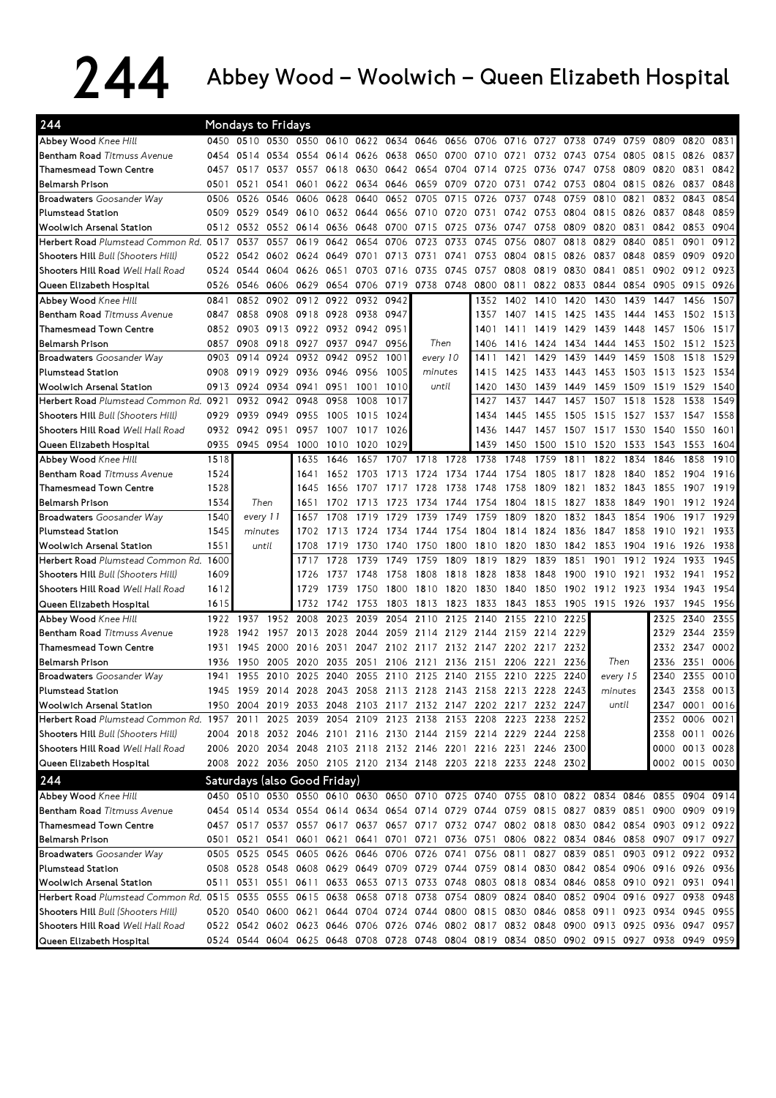## 244 Abbey Wood – Woolwich – Queen Elizabeth Hospital

| 244                                                                                                                    |              | Mondays to Fridays           |           |              |              |           |                                                                  |           |      |      |      |           |      |                                                                       |      |                                                                                           |                |              |
|------------------------------------------------------------------------------------------------------------------------|--------------|------------------------------|-----------|--------------|--------------|-----------|------------------------------------------------------------------|-----------|------|------|------|-----------|------|-----------------------------------------------------------------------|------|-------------------------------------------------------------------------------------------|----------------|--------------|
| Abbey Wood Knee Hill                                                                                                   | 0450         | 0510                         | 0530      | 0550         |              | 0610 0622 | 0634                                                             | 0646      | 0656 | 0706 | 0716 | 0727      | 0738 | 0749                                                                  | 0759 | 0809                                                                                      | 0820           | 0831         |
| Bentham Road Titmuss Avenue                                                                                            | 0454         | 0514                         | 0534      | 0554         |              | 0614 0626 | 0638                                                             | 0650 0700 |      | 0710 | 0721 | 0732      | 0743 | 0754                                                                  | 0805 | 0815                                                                                      | 0826           | 0837         |
| Thamesmead Town Centre                                                                                                 | 0457         | 0517                         | 0537      | 0557         | 0618         | 0630      | 0642                                                             | 0654      | 0704 | 0714 | 0725 | 0736      | 0747 | 0758                                                                  | 0809 | 0820                                                                                      | 0831           | 0842         |
| <b>Belmarsh Prison</b>                                                                                                 | 0501         | 0521                         | 0541      | 0601         | 0622         | 0634      | 0646                                                             | 0659      | 0709 | 0720 | 0731 | 0742      | 0753 | 0804                                                                  | 0815 | 0826                                                                                      | 0837           | 0848         |
| <b>Broadwaters</b> Goosander Way                                                                                       | 0506         | 0526                         | 0546      | 0606         | 0628         | 0640      | 0652                                                             | 0705      | 0715 | 0726 | 0737 | 0748      | 0759 | 0810                                                                  | 0821 | 0832                                                                                      | 0843           | 0854         |
| <b>Plumstead Station</b>                                                                                               | 0509         | 0529                         | 0549      | 0610         |              | 0632 0644 | 0656                                                             | 0710 0720 |      | 0731 | 0742 | 0753      | 0804 | 0815                                                                  | 0826 | 0837                                                                                      | 0848           | 0859         |
| <b>Woolwich Arsenal Station</b>                                                                                        | 0512         | 0532                         | 0552      | 0614         | 0636         | 0648      | 0700                                                             | 0715      | 0725 | 0736 | 0747 | 0758      | 0809 | 0820                                                                  | 0831 | 0842                                                                                      | 0853           | 0904         |
| Herbert Road Plumstead Common Rd. 0517                                                                                 |              | 0537                         | 0557      | 0619         | 0642         | 0654      | 0706                                                             | 0723 0733 |      | 0745 | 0756 | 0807      | 0818 | 0829                                                                  | 0840 | 0851                                                                                      | 0901           | 0912         |
| Shooters Hill Bull (Shooters Hill)                                                                                     | 0522         | 0542                         | 0602      | 0624         | 0649         | 0701      | 0713                                                             | 0731      | 0741 | 0753 | 0804 | 0815      | 0826 | 0837                                                                  | 0848 | 0859                                                                                      | 0909           | 0920         |
| Shooters Hill Road Well Hall Road                                                                                      | 0524         | 0544                         | 0604      | 0626         | 0651         | 0703      | 0716                                                             | 0735      | 0745 | 0757 | 0808 | 0819      | 0830 | 0841                                                                  | 0851 |                                                                                           | 0902 0912      | 0923         |
| Queen Elizabeth Hospital                                                                                               | 0526         | 0546                         | 0606      | 0629         | 0654         | 0706      | 0719                                                             | 0738 0748 |      | 0800 | 0811 | 0822      | 0833 | 0844                                                                  | 0854 | 0905                                                                                      | 0915           | 0926         |
| Abbey Wood Knee Hill                                                                                                   | 0841         | 0852                         | 0902      | 0912         | 0922         | 0932      | 0942                                                             |           |      | 1352 | 1402 | 1410      | 1420 | 1430                                                                  | 1439 | 1447                                                                                      | 1456           | 1507         |
| Bentham Road Titmuss Avenue                                                                                            | 0847         | 0858                         | 0908      | 0918         | 0928         | 0938      | 0947                                                             |           |      | 1357 | 1407 | 1415      | 1425 | 1435                                                                  | 1444 | 1453                                                                                      | 1502           | 1513         |
| <b>Thamesmead Town Centre</b>                                                                                          | 0852         | 0903                         | 0913      | 0922         |              | 0932 0942 | 0951                                                             |           |      | 1401 | 1411 | 1419      | 1429 | 1439                                                                  | 1448 | 1457                                                                                      | 1506           | 1517         |
| <b>Belmarsh Prison</b>                                                                                                 | 0857         | 0908                         | 0918      | 0927         | 0937         | 0947      | 0956                                                             | Then      |      | 1406 | 1416 | 1424      | 1434 | 1444                                                                  | 1453 | 1502                                                                                      | 1512           | 1523         |
| <b>Broadwaters</b> Goosander Way                                                                                       | 0903         | 0914                         | 0924      | 0932         | 0942         | 0952      | 1001                                                             | every 10  |      | 141  | 1421 | 1429      | 1439 | 1449                                                                  | 1459 | 1508                                                                                      | 1518           | 1529         |
| <b>Plumstead Station</b>                                                                                               | 0908         | 0919                         | 0929      | 0936         | 0946         | 0956      | 1005                                                             | minutes   |      | 1415 | 1425 | 1433      | 1443 | 1453                                                                  | 1503 | 1513                                                                                      | 1523           | 1534         |
| <b>Woolwich Arsenal Station</b>                                                                                        | 0913         | 0924                         | 0934      | 0941         | 0951         | 1001      | 1010                                                             | until     |      | 1420 | 1430 | 1439      | 1449 | 1459                                                                  | 1509 | 1519                                                                                      | 1529           | 1540         |
| Herbert Road Plumstead Common Rd. 0921                                                                                 |              | 0932                         | 0942      | 0948         | 0958         | 1008      | 1017                                                             |           |      | 1427 | 1437 | 1447      | 1457 | 1507                                                                  | 1518 | 1528                                                                                      | 1538           | 1549         |
| Shooters Hill Bull (Shooters Hill)                                                                                     | 0929         | 0939                         | 0949      | 0955         | 1005         | 1015      | 1024                                                             |           |      | 1434 | 1445 | 1455      | 1505 | 1515                                                                  | 1527 | 1537                                                                                      | 1547           | 1558         |
| Shooters Hill Road Well Hall Road                                                                                      | 0932         | 0942                         | 0951      | 0957         | 1007         | 1017      | 1026                                                             |           |      | 1436 | 1447 | 1457      | 1507 | 1517                                                                  | 1530 | 1540                                                                                      | 1550           | 1601         |
|                                                                                                                        | 0935         |                              | 0945 0954 |              |              | 1020      | 1029                                                             |           |      | 1439 | 1450 | 1500      | 1510 | 1520                                                                  | 1533 | 1543                                                                                      | 1553           | 1604         |
| Queen Elizabeth Hospital<br>Abbey Wood Knee Hill                                                                       | 1518         |                              |           | 1000<br>1635 | 1010<br>1646 | 1657      | 1707                                                             | 1718      | 1728 | 1738 | 1748 | 1759      | 1811 | 1822                                                                  | 1834 | 1846                                                                                      | 1858           | 1910         |
| Bentham Road Titmuss Avenue                                                                                            | 1524         |                              |           | 1641         | 1652         | 1703      | 1713                                                             | 1724      | 1734 | 1744 | 1754 | 1805      | 1817 | 1828                                                                  | 1840 | 1852                                                                                      | 1904           | 1916         |
| <b>Thamesmead Town Centre</b>                                                                                          | 1528         |                              |           | 1645         | 1656         | 1707      | 1717                                                             | 1728      | 1738 | 1748 | 1758 | 1809      | 1821 | 1832                                                                  | 1843 | 1855                                                                                      | 1907           | 1919         |
| Belmarsh Prison                                                                                                        |              |                              | Then      |              |              |           |                                                                  |           |      |      |      | 1815      |      | 1838                                                                  | 1849 | 1901                                                                                      |                |              |
|                                                                                                                        | 1534<br>1540 |                              |           | 1651         | 1702         | 1713      | 1723<br>1729                                                     | 1734      | 1744 | 1754 | 1804 |           | 1827 | 1843                                                                  | 1854 |                                                                                           | 1912           | 1924         |
| <b>Broadwaters</b> Goosander Way                                                                                       |              | every 11                     |           | 1657         | 1708         | 1719      |                                                                  | 1739      | 1749 | 1759 | 1809 | 1820      | 1832 |                                                                       |      | 1906                                                                                      | 1917           | 1929         |
| <b>Plumstead Station</b>                                                                                               | 1545         | minutes                      |           | 1702         | 1713         | 1724      | 1734                                                             | 1744      | 1754 | 1804 | 1814 | 1824      | 1836 | 1847                                                                  | 1858 | 1910                                                                                      | 1921           | 1933         |
| <b>Woolwich Arsenal Station</b>                                                                                        | 1551         |                              | until     | 1708         | 1719         | 1730      | 1740<br>1749                                                     | 1750      | 1800 | 1810 | 1820 | 1830      | 1842 | 1853                                                                  | 1904 | 1916                                                                                      | 1926           | 1938<br>1945 |
| Herbert Road Plumstead Common Rd. 1600                                                                                 |              |                              |           | 1717         | 1728         | 1739      |                                                                  | 1759      | 1809 | 1819 | 1829 | 1839      | 1851 | 1901                                                                  | 1912 | 1924                                                                                      | 1933           |              |
| Shooters Hill Bull (Shooters Hill)                                                                                     | 1609         |                              |           | 1726         | 1737         | 1748      | 1758                                                             | 1808      | 1818 | 1828 | 1838 | 1848      | 1900 | 1910                                                                  | 1921 | 1932                                                                                      | 1941           | 1952         |
| Shooters Hill Road Well Hall Road                                                                                      | 1612         |                              |           | 1729         | 1739         | 1750      | 1800                                                             | 1810      | 1820 | 1830 | 1840 | 1850      |      | 1902 1912                                                             | 1923 | 1934                                                                                      | 1943           | 1954         |
| Queen Elizabeth Hospital                                                                                               | 1615         |                              |           | 1732         | 1742         | 1753      | 1803                                                             | 1813      | 1823 | 1833 | 1843 | 1853      |      | 1905 1915 1926                                                        |      | 1937                                                                                      | 1945           | 1956         |
| Abbey Wood Knee Hill                                                                                                   | 1922         | 1937                         | 1952      | 2008         | 2023         | 2039      | 2054                                                             | 2110      | 2125 | 2140 |      | 2155 2210 | 2225 |                                                                       |      | 2325                                                                                      | 2340           | 2355         |
| Bentham Road Titmuss Avenue                                                                                            | 1928         | 1942                         | 1957      | 2013         | 2028         | 2044      | 2059                                                             | 2114 2129 |      | 2144 | 2159 | 2214      | 2229 |                                                                       |      | 2329                                                                                      | 2344           | 2359         |
| Thamesmead Town Centre                                                                                                 | 1931         | 1945                         | 2000      | 2016         | 2031         | 2047      | 2102                                                             | 2117 2132 |      | 2147 |      | 2202 2217 | 2232 |                                                                       |      | 2332                                                                                      | 2347           | 0002         |
| <b>Belmarsh Prison</b>                                                                                                 | 1936         | 1950                         | 2005      | 2020         | 2035         | 2051      | 2106                                                             | 2121      | 2136 | 2151 | 2206 | 2221      | 2236 | Then                                                                  |      | 2336                                                                                      | 2351           | 0006         |
| <b>Broadwaters</b> Goosander Way                                                                                       | 1941         | 1955                         | 2010      | 2025         | 2040         | 2055      | 2110                                                             | 2125      | 2140 | 2155 | 2210 | 2225      | 2240 | every 15                                                              |      | 2340                                                                                      | 2355           | 0010         |
| <b>Plumstead Station</b>                                                                                               | 1945         |                              |           |              |              |           | 1959 2014 2028 2043 2058 2113 2128 2143 2158 2213 2228           |           |      |      |      |           | 2243 | minutes                                                               |      |                                                                                           | 2343 2358 0013 |              |
| <b>Woolwich Arsenal Station</b>                                                                                        | 1950         |                              |           |              |              |           | 2004 2019 2033 2048 2103 2117 2132 2147 2202 2217 2232 2247      |           |      |      |      |           |      | until                                                                 |      | 2347                                                                                      | 0001 0016      |              |
| Herbert Road Plumstead Common Rd. 1957 2011 2025 2039 2054 2109 2123 2138 2153 2208 2223 2238 2252                     |              |                              |           |              |              |           |                                                                  |           |      |      |      |           |      |                                                                       |      |                                                                                           | 2352 0006 0021 |              |
| Shooters Hill Bull (Shooters Hill)                                                                                     |              |                              |           |              |              |           | 2004 2018 2032 2046 2101 2116 2130 2144 2159 2214 2229 2244 2258 |           |      |      |      |           |      |                                                                       |      |                                                                                           | 2358 0011 0026 |              |
| Shooters Hill Road Well Hall Road                                                                                      |              |                              |           |              |              |           | 2006 2020 2034 2048 2103 2118 2132 2146 2201 2216 2231 2246 2300 |           |      |      |      |           |      |                                                                       |      |                                                                                           | 0000 0013 0028 |              |
| Queen Elizabeth Hospital                                                                                               |              |                              |           |              |              |           | 2008 2022 2036 2050 2105 2120 2134 2148 2203 2218 2233 2248 2302 |           |      |      |      |           |      |                                                                       |      |                                                                                           | 0002 0015 0030 |              |
| 244                                                                                                                    |              | Saturdays (also Good Friday) |           |              |              |           |                                                                  |           |      |      |      |           |      |                                                                       |      |                                                                                           |                |              |
| Abbey Wood Knee Hill                                                                                                   |              |                              |           |              |              |           |                                                                  |           |      |      |      |           |      |                                                                       |      | 0450 0510 0530 0550 0610 0630 0650 0710 0725 0740 0755 0810 0822 0834 0846 0855 0904 0914 |                |              |
| Bentham Road Titmuss Avenue                                                                                            |              |                              |           |              |              |           |                                                                  |           |      |      |      |           |      |                                                                       |      | 0454 0514 0534 0554 0614 0634 0654 0714 0729 0744 0759 0815 0827 0839 0851 0900 0909 0919 |                |              |
| Thamesmead Town Centre                                                                                                 |              |                              |           |              |              |           |                                                                  |           |      |      |      |           |      |                                                                       |      | 0457 0517 0537 0557 0617 0637 0657 0717 0732 0747 0802 0818 0830 0842 0854 0903 0912 0922 |                |              |
| Belmarsh Prison                                                                                                        |              |                              |           |              |              |           |                                                                  |           |      |      |      |           |      |                                                                       |      | 0501 0521 0541 0601 0621 0641 0701 0721 0736 0751 0806 0822 0834 0846 0858 0907 0917 0927 |                |              |
| <b>Broadwaters</b> Goosander Way                                                                                       |              |                              |           |              |              |           |                                                                  |           |      |      |      |           |      | 0505 0525 0545 0605 0626 0646 0706 0726 0741 0756 0811 0827 0839 0851 |      | 0903 0912 0922 0932                                                                       |                |              |
| <b>Plumstead Station</b>                                                                                               |              |                              |           |              |              |           |                                                                  |           |      |      |      |           |      |                                                                       |      | 0508 0528 0548 0608 0629 0649 0709 0729 0744 0759 0814 0830 0842 0854 0906 0916 0926 0936 |                |              |
| <b>Woolwich Arsenal Station</b>                                                                                        |              |                              |           |              |              |           |                                                                  |           |      |      |      |           |      |                                                                       |      | 0511 0531 0551 0611 0633 0653 0713 0733 0748 0803 0818 0834 0846 0858 0910 0921 0931      |                | 0941         |
| Herbert Road Plumstead Common Rd. 0515 0535 0555 0615 0638 0658 0718 0738 0754 0809 0824 0840 0852 0904 0916 0927 0938 |              |                              |           |              |              |           |                                                                  |           |      |      |      |           |      |                                                                       |      |                                                                                           |                | 0948         |
| Shooters Hill Bull (Shooters Hill)                                                                                     |              |                              |           |              |              |           |                                                                  |           |      |      |      |           |      |                                                                       |      | 0520 0540 0600 0621 0644 0704 0724 0744 0800 0815 0830 0846 0858 0911 0923 0934 0945      |                | 0955         |
| Shooters Hill Road Well Hall Road                                                                                      |              |                              |           |              |              |           |                                                                  |           |      |      |      |           |      |                                                                       |      | 0522 0542 0602 0623 0646 0706 0726 0746 0802 0817 0832 0848 0900 0913 0925 0936 0947 0957 |                |              |
| Queen Elizabeth Hospital                                                                                               |              |                              |           |              |              |           |                                                                  |           |      |      |      |           |      |                                                                       |      | 0524 0544 0604 0625 0648 0708 0728 0748 0804 0819 0834 0850 0902 0915 0927 0938 0949 0959 |                |              |
|                                                                                                                        |              |                              |           |              |              |           |                                                                  |           |      |      |      |           |      |                                                                       |      |                                                                                           |                |              |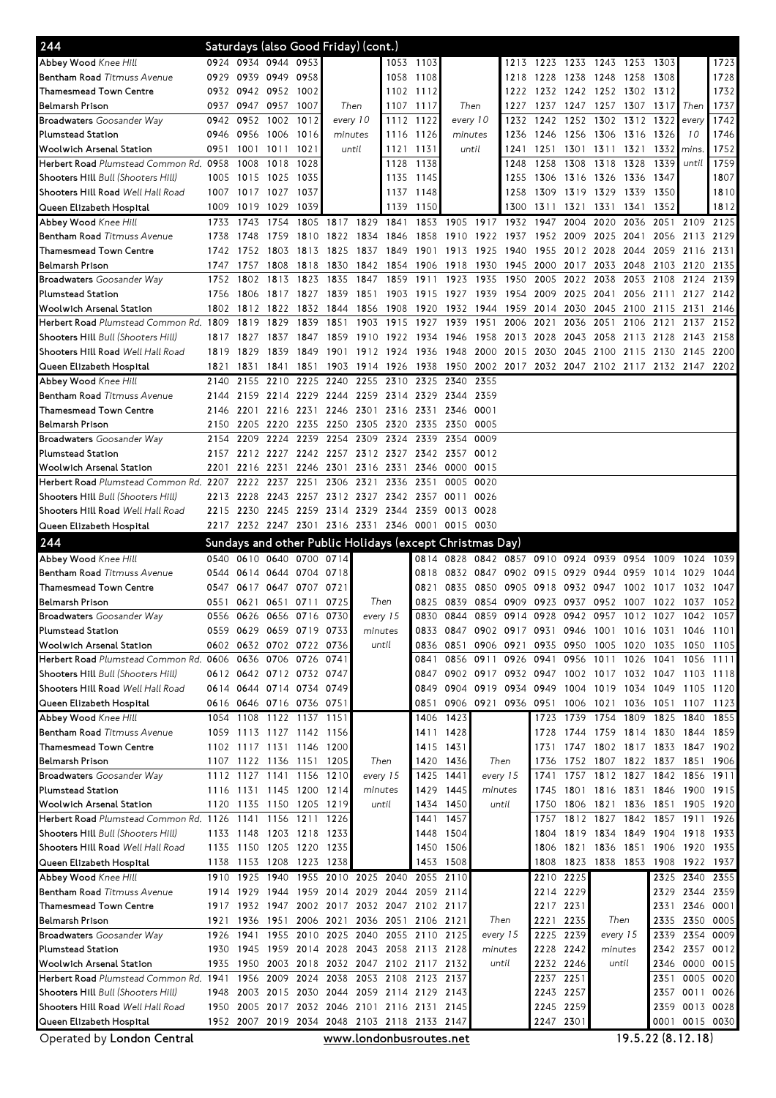| 244                                                                            |              | Saturdays (also Good Friday) (cont.) |                                                          |                          |              |                                  |                                              |                        |                         |                |                |              |                |              |                                              |              |                |              |
|--------------------------------------------------------------------------------|--------------|--------------------------------------|----------------------------------------------------------|--------------------------|--------------|----------------------------------|----------------------------------------------|------------------------|-------------------------|----------------|----------------|--------------|----------------|--------------|----------------------------------------------|--------------|----------------|--------------|
| Abbey Wood Knee Hill                                                           |              |                                      | 0924 0934 0944 0953                                      |                          |              |                                  |                                              | 1053 1103              |                         |                | 1213           | 1223         | 1233 1243 1253 |              |                                              | 1303         |                | 1723         |
| Bentham Road Titmuss Avenue                                                    | 0929         |                                      | 0939 0949 0958                                           |                          |              |                                  | 1058                                         | 1108                   |                         |                | 1218           | 1228         | 1238           | 1248         | 1258                                         | 1308         |                | 1728         |
| Thamesmead Town Centre                                                         | 0932         |                                      | 0942 0952 1002                                           |                          |              |                                  |                                              | 1102 1112              |                         |                | 1222           |              |                |              | 1232 1242 1252 1302 1312                     |              |                | 1732         |
| <b>Belmarsh Prison</b>                                                         | 0937         | 0947                                 | 0957                                                     | 1007                     |              | Then                             | 1107                                         | 1117                   | Then                    |                | 1227           | 1237         | 1247 1257      |              | 1307                                         | 1317         | Then           | 1737         |
| <b>Broadwaters</b> Goosander Way                                               | 0942         | 0952                                 | 1002                                                     | 1012                     |              | every 10                         | 1112                                         | 1122                   | every 10                |                | 1232           | 1242         | 1252 1302      |              | 1312                                         | 1322         | every          | 1742         |
| <b>Plumstead Station</b><br>Woolwich Arsenal Station                           | 0946<br>0951 | 0956<br>1001                         | 1006<br>1011                                             | 1016<br>1021             | minutes      |                                  | 1116<br>1121                                 | 1126<br>1131           | minutes<br>until        |                | 1236<br>1241   | 1246<br>1251 | 1256<br>1301   | 1306<br>1311 | 1316<br>1321                                 | 1326<br>1332 | 10             | 1746<br>1752 |
| Herbert Road Plumstead Common Rd. 0958                                         |              | 1008                                 | 1018                                                     | 1028                     |              | until<br>1128                    |                                              | 1138                   |                         |                | 1248           | 1258         | 1308           | 1318         | 1328                                         | 1339         | mins.<br>until | 1759         |
| Shooters Hill Bull (Shooters Hill)                                             | 1005         | 1015                                 | 1025                                                     | 1035                     |              | 1135                             |                                              | 1145                   |                         |                | 1255           | 1306         | 1316           | 1326         | 1336                                         | 1347         |                | 1807         |
| Shooters Hill Road Well Hall Road                                              | 1007         | 1017                                 | 1027 1037                                                |                          |              |                                  |                                              | 1148                   |                         |                | 1258           | 1309         | 1319 1329      |              | 1339                                         | 1350         |                | 1810         |
| Queen Elizabeth Hospital                                                       | 1009         | 1019                                 | 1029                                                     | 1039                     |              |                                  | 1137<br>1139                                 | 1150                   |                         |                | 1300           | 1311         | 1321           | 1331         | 1341                                         | 1352         |                | 1812         |
| Abbey Wood Knee Hill                                                           | 1733         | 1743                                 | 1754                                                     | 1805                     | 1817         |                                  | 1829 1841                                    | 1853                   | 1905                    | 1917           | 1932           | 1947         | 2004           | 2020         | 2036                                         | 2051         | 2109           | 2125         |
| Bentham Road Titmuss Avenue                                                    | 1738         | 1748                                 | 1759                                                     | 1810                     | 1822         | 1834                             | 1846                                         | 1858                   | 1910                    | 1922           | 1937           | 1952         | 2009           | 2025         | 2041                                         | 2056         | 2113           | 2129         |
| <b>Thamesmead Town Centre</b>                                                  | 1742         | 1752                                 | 1803                                                     | 1813                     | 1825         | 1837                             | 1849                                         | 1901                   | 1913                    | 1925           | 1940           | 1955         | 2012 2028      |              | 2044                                         | 2059         | 2116           | 2131         |
| <b>Belmarsh Prison</b>                                                         | 1747         | 1757                                 | 1808                                                     | 1818                     | 1830         | 1842                             | 1854                                         | 1906 1918              |                         | 1930           | 1945           | 2000         | 2017           | 2033         | 2048                                         | 2103         | 2120           | 2135         |
| <b>Broadwaters</b> Goosander Way                                               | 1752         | 1802                                 | 1813                                                     | 1823                     | 1835         | 1847                             | 1859                                         | 1911                   | 1923                    | 1935           | 1950           | 2005         | 2022           | 2038         | 2053                                         | 2108         | 2124           | 2139         |
| <b>Plumstead Station</b>                                                       | 1756         | 1806                                 | 1817 1827                                                |                          | 1839         | 1851                             | 1903                                         | 1915 1927              |                         | 1939           | 1954 2009      |              | 2025           | 2041         |                                              | 2056 2111    | 2127 2142      |              |
| <b>Woolwich Arsenal Station</b>                                                | 1802         |                                      | 1812 1822                                                | 1832                     | 1844         | 1856                             | 1908                                         | 1920                   | 1932                    | 1944           | 1959           | 2014         | 2030           | 2045         | 2100 2115                                    |              | 2131           | 2146         |
| Herbert Road Plumstead Common Rd. 1809                                         |              | 1819                                 | 1829                                                     | 1839                     | 1851         | 1903                             | 1915                                         | 1927                   | 1939                    | 1951           | 2006           | 2021         | 2036           | 2051         | 2106                                         | 2121         | 2137           | 2152         |
| Shooters Hill Bull (Shooters Hill)                                             | 1817         | 1827                                 | 1837                                                     | 1847                     | 1859         | 1910                             | 1922                                         | 1934 1946              |                         | 1958           | 2013           | 2028         | 2043           | 2058         | 2113                                         | 2128         | 2143           | 2158         |
| Shooters Hill Road Well Hall Road                                              | 1819         | 1829                                 |                                                          | 1839 1849                | 1901         | 1912                             | 1924                                         | 1936 1948              |                         | 2000           | 2015           | 2030         | 2045           | 2100         | 2115                                         | 2130         | 2145           | 2200         |
| Queen Elizabeth Hospital                                                       | 1821         | 1831                                 | 1841 1851                                                |                          | 1903         | 1914 1926                        |                                              | 1938 1950              |                         |                |                |              |                |              | 2002 2017 2032 2047 2102 2117 2132 2147 2202 |              |                |              |
| Abbey Wood Knee Hill                                                           | 2140         | 2155                                 | 2210                                                     | 2225                     | 2240         | 2255                             | 2310                                         | 2325                   | 2340                    | 2355           |                |              |                |              |                                              |              |                |              |
| Bentham Road Titmuss Avenue                                                    | 2144         | 2159                                 | 2214 2229                                                |                          |              | 2244 2259 2314                   |                                              | 2329 2344              |                         | 2359           |                |              |                |              |                                              |              |                |              |
| Thamesmead Town Centre                                                         | 2146         |                                      | 2201 2216 2231                                           |                          |              | 2246 2301 2316                   |                                              | 2331 2346              |                         | 0001           |                |              |                |              |                                              |              |                |              |
| Belmarsh Prison                                                                | 2150         | 2205                                 | 2220 2235                                                |                          |              | 2250 2305 2320                   |                                              | 2335 2350              |                         | 0005           |                |              |                |              |                                              |              |                |              |
| <b>Broadwaters</b> Goosander Way<br><b>Plumstead Station</b>                   | 2154         | 2209                                 | 2212 2227 2242                                           | 2224 2239                |              | 2254 2309 2324<br>2257 2312 2327 |                                              | 2339 2354<br>2342 2357 |                         | 0009<br>0012   |                |              |                |              |                                              |              |                |              |
| Woolwich Arsenal Station                                                       | 2157<br>2201 | 2216                                 | 2231                                                     | 2246                     | 2301         | 2316 2331                        |                                              |                        | 2346 0000               | 0015           |                |              |                |              |                                              |              |                |              |
| Herbert Road Plumstead Common Rd. 2207                                         |              | 2222                                 | 2237                                                     | 2251                     | 2306         | 2321                             | 2336                                         | 2351                   | 0005                    | 0020           |                |              |                |              |                                              |              |                |              |
| Shooters Hill Bull (Shooters Hill)                                             | 2213         | 2228                                 |                                                          | 2243 2257 2312 2327 2342 |              |                                  |                                              | 2357 0011              |                         | 0026           |                |              |                |              |                                              |              |                |              |
| Shooters Hill Road Well Hall Road                                              | 2215         |                                      | 2230 2245 2259                                           |                          |              | 2314 2329 2344                   |                                              | 2359                   | 0013                    | 0028           |                |              |                |              |                                              |              |                |              |
| Queen Elizabeth Hospital                                                       |              |                                      |                                                          |                          |              |                                  | 2217 2232 2247 2301 2316 2331 2346 0001      |                        | 0015 0030               |                |                |              |                |              |                                              |              |                |              |
| 244                                                                            |              |                                      |                                                          |                          |              |                                  |                                              |                        |                         |                |                |              |                |              |                                              |              |                |              |
|                                                                                |              |                                      |                                                          |                          |              |                                  |                                              |                        |                         |                |                |              |                |              |                                              |              |                |              |
|                                                                                |              |                                      | Sundays and other Public Holidays (except Christmas Day) |                          |              |                                  |                                              |                        |                         |                |                |              |                |              |                                              |              |                |              |
| Abbey Wood Knee Hill                                                           | 0540         |                                      | 0610 0640 0700                                           |                          | 0714         |                                  |                                              |                        | 0814 0828               | 0842           | 0857           | 0910 0924    |                | 0939         | 0954                                         | 1009         | 1024           | 1039         |
| Bentham Road Titmuss Avenue<br><b>Thamesmead Town Centre</b>                   | 0544<br>0547 | 0614                                 | 0617 0647 0707                                           | 0644 0704                | 0718<br>0721 |                                  |                                              | 0818<br>0821           | 0832<br>0835            | 0847<br>0850   | 0902<br>0905   | 0915<br>0918 | 0929<br>0932   | 0944<br>0947 | 0959<br>1002                                 | 1014<br>1017 | 1029<br>1032   | 1044<br>1047 |
| Belmarsh Prison                                                                | 0551         | 0621                                 |                                                          | 0651 0711                | 0725         |                                  | Then                                         | 0825                   | 0839                    | 0854           | 0909           | 0923         | 0937           | 0952         | 1007                                         | 1022         | 1037           | 1052         |
| <b>Broadwaters</b> Goosander Way                                               |              |                                      | 0556 0626 0656 0716                                      |                          | 0730         |                                  | every 15                                     | 0830                   | 0844                    | 0859 0914      |                | 0928         | 0942 0957      |              | 1012 1027                                    |              | 1042           | 1057         |
| <b>Plumstead Station</b>                                                       | 0559         |                                      |                                                          | 0629 0659 0719 0733      |              | minutes                          |                                              |                        | 0833 0847               |                | 0902 0917 0931 |              | 0946           |              | 1001 1016 1031 1046 1101                     |              |                |              |
| Woolwich Arsenal Station                                                       | 0602         |                                      |                                                          | 0632 0702 0722 0736      |              |                                  | until                                        |                        | 0836 0851               | 0906           | 0921           | 0935         | 0950           | 1005         | 1020 1035                                    |              | 1050 1105      |              |
| Herbert Road Plumstead Common Rd. 0606                                         |              |                                      | 0636 0706 0726                                           |                          | 0741         |                                  |                                              | 0841                   | 0856                    | 0911           | 0926           | 0941         | 0956           | 1011         | 1026                                         | 1041         | 1056 1111      |              |
| Shooters Hill Bull (Shooters Hill)                                             | 0612         |                                      |                                                          | 0642 0712 0732 0747      |              |                                  |                                              | 0847                   |                         | 0902 0917 0932 |                | 0947         | 1002 1017      |              | 1032 1047                                    |              | 1103           | 1118         |
| Shooters Hill Road Well Hall Road                                              | 0614         |                                      | 0644 0714 0734                                           |                          | 0749         |                                  |                                              | 0849                   | 0904                    | 0919 0934      |                | 0949         | 1004           | 1019         | 1034                                         | 1049         | 1105           | 1120         |
| Queen Elizabeth Hospital                                                       | 0616         |                                      | 0646 0716 0736                                           |                          | 0751         |                                  |                                              | 0851                   | 0906                    | 0921 0936      |                | 0951         | 1006           | 1021         | 1036                                         | 1051         | 1107           | 1123         |
| Abbey Wood Knee Hill                                                           | 1054         | 1108                                 | 1122 1137                                                |                          | 1151         |                                  |                                              | 1406                   | 1423                    |                |                | 1723         | 1739           | 1754         | 1809                                         | 1825         | 1840           | 1855         |
| Bentham Road Titmuss Avenue                                                    | 1059         |                                      | 1113 1127 1142                                           |                          | 1156         |                                  |                                              | 1411                   | 1428                    |                |                | 1728         | 1744           | 1759         | 1814 1830                                    |              | 1844           | 1859         |
| <b>Thamesmead Town Centre</b>                                                  |              |                                      | 1102 1117 1131 1146                                      |                          | 1200         |                                  |                                              |                        | 1415 1431               |                |                | 1731         |                |              | 1747 1802 1817 1833 1847 1902                |              |                |              |
| <b>Belmarsh Prison</b>                                                         | 1107         |                                      |                                                          | 1122 1136 1151 1205      |              |                                  | Then                                         | 1420                   | 1436                    | Then           |                | 1736         |                |              | 1752 1807 1822 1837 1851 1906                |              |                |              |
| <b>Broadwaters</b> Goosander Way                                               |              | 1112 1127                            | 1141 1156                                                |                          | 1210         |                                  | every 15                                     |                        | 1425 1441               | every 15       |                | 1741         | 1757           | 1812 1827    |                                              | 1842 1856    |                | 1911         |
| <b>Plumstead Station</b>                                                       | 1116         | 1131                                 | 1145 1200                                                |                          | 1214         | minutes                          |                                              | 1429                   | 1445                    | minutes        |                | 1745         | 1801           | 1816 1831    |                                              | 1846         | 1900           | 1915         |
| <b>Woolwich Arsenal Station</b>                                                | 1120         |                                      | 1135 1150 1205                                           |                          | 1219         |                                  | until                                        |                        | 1434 1450               | until          |                | 1750         | 1806           |              | 1821 1836 1851 1905 1920                     |              |                |              |
| Herbert Road Plumstead Common Rd. 1126                                         |              | 1141                                 |                                                          | 1156 1211                | 1226         |                                  |                                              | 1441                   | 1457                    |                |                | 1757         | 1812 1827      |              | 1842                                         | 1857         | 1911           | 1926         |
| <b>Shooters Hill</b> Bull (Shooters Hill)<br>Shooters Hill Road Well Hall Road | 1133<br>1135 |                                      | 1148 1203 1218<br>1150 1205 1220                         |                          | 1233<br>1235 |                                  |                                              |                        | 1448 1504<br>1450 1506  |                |                | 1804<br>1806 | 1821           |              | 1819 1834 1849 1904 1918 1933<br>1836 1851   |              | 1906 1920 1935 |              |
|                                                                                | 1138         |                                      | 1153 1208 1223                                           |                          | 1238         |                                  |                                              | 1453                   | 1508                    |                |                | 1808         | 1823           |              | 1838 1853 1908                               |              | 1922 1937      |              |
| Queen Elizabeth Hospital<br>Abbey Wood Knee Hill                               | 1910         | 1925                                 | 1940                                                     | 1955                     |              | 2010 2025                        | 2040                                         | 2055                   | 2110                    |                |                |              | 2210 2225      |              |                                              | 2325         | 2340           | 2355         |
| Bentham Road Titmuss Avenue                                                    | 1914         | 1929                                 | 1944                                                     | 1959                     |              | 2014 2029 2044                   |                                              | 2059                   | 2114                    |                |                |              | 2214 2229      |              |                                              | 2329         | 2344           | 2359         |
| <b>Thamesmead Town Centre</b>                                                  | 1917         | 1932                                 | 1947 2002                                                |                          |              |                                  | 2017 2032 2047 2102 2117                     |                        |                         |                |                |              | 2217 2231      |              |                                              | 2331         | 2346 0001      |              |
| <b>Belmarsh Prison</b>                                                         | 1921         | 1936                                 | 1951                                                     | 2006                     | 2021         |                                  | 2036 2051                                    |                        | 2106 2121               | Then           |                | 2221         | 2235           | Then         |                                              | 2335         | 2350 0005      |              |
| <b>Broadwaters</b> Goosander Way                                               | 1926         | 1941                                 |                                                          | 1955 2010                |              | 2025 2040 2055                   |                                              | 2110 2125              |                         | every 15       |                | 2225         | 2239           | every 15     |                                              | 2339         | 2354 0009      |              |
| <b>Plumstead Station</b>                                                       | 1930         |                                      |                                                          |                          |              |                                  | 1945 1959 2014 2028 2043 2058 2113 2128      |                        |                         | minutes        |                | 2228 2242    |                | minutes      |                                              |              | 2342 2357 0012 |              |
| <b>Woolwich Arsenal Station</b>                                                | 1935         |                                      |                                                          |                          |              |                                  | 1950 2003 2018 2032 2047 2102 2117 2132      |                        |                         | until          |                | 2232 2246    |                | until        |                                              |              | 2346 0000 0015 |              |
| Herbert Road Plumstead Common Rd. 1941                                         |              |                                      | 1956 2009 2024                                           |                          |              | 2038 2053 2108                   |                                              | 2123 2137              |                         |                |                | 2237         | 2251           |              |                                              | 2351         | 0005 0020      |              |
| Shooters Hill Bull (Shooters Hill)                                             | 1948         |                                      | 2003 2015 2030                                           |                          |              |                                  | 2044 2059 2114 2129 2143                     |                        |                         |                |                | 2243         | 2257           |              |                                              |              | 2357 0011 0026 |              |
| Shooters Hill Road Well Hall Road                                              | 1950         | 2005                                 |                                                          |                          |              |                                  | 2017 2032 2046 2101 2116 2131 2145           |                        |                         |                |                |              | 2245 2259      |              |                                              |              | 2359 0013 0028 |              |
| Queen Elizabeth Hospital<br>Operated by London Central                         |              |                                      |                                                          |                          |              |                                  | 1952 2007 2019 2034 2048 2103 2118 2133 2147 |                        | www.londonbusroutes.net |                |                | 2247 2301    |                |              | 19.5.22(8.12.18)                             | 0001         | 0015 0030      |              |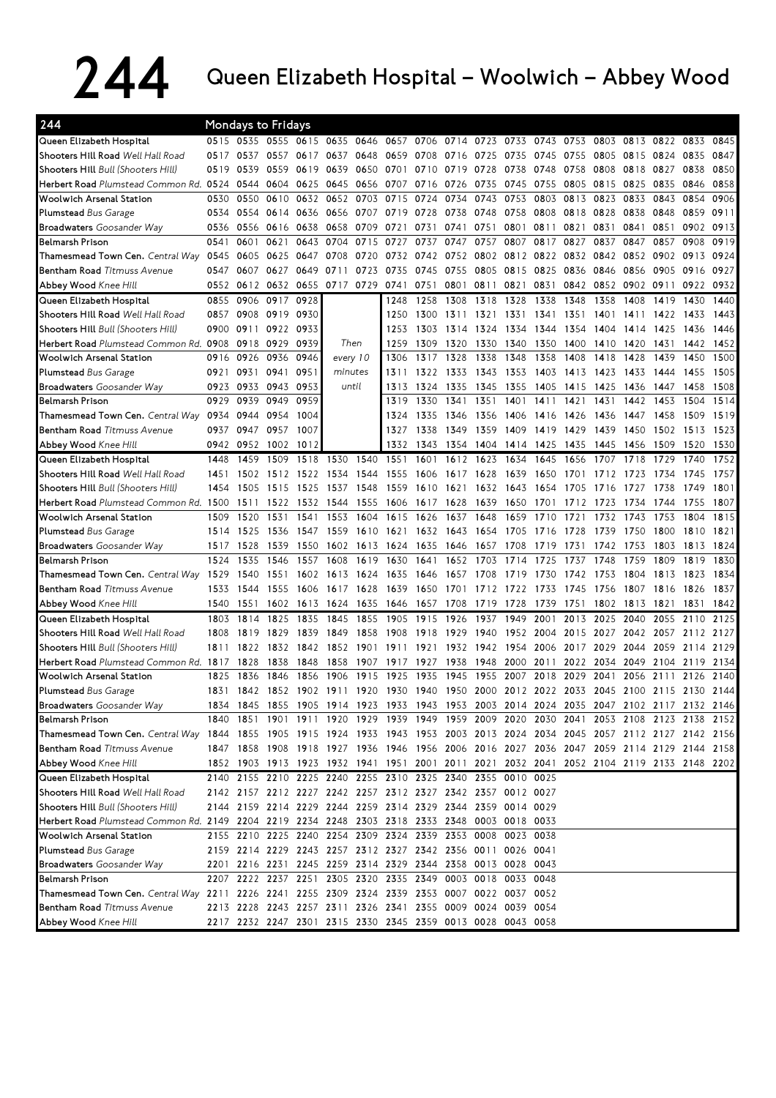## 244 Queen Elizabeth Hospital – Woolwich – Abbey Wood

| 244                                                                                                                        |      |      | Mondays to Fridays       |                     |      |                                                             |      |           |                |          |           |           |      |           |                                                                                           |      |           |      |
|----------------------------------------------------------------------------------------------------------------------------|------|------|--------------------------|---------------------|------|-------------------------------------------------------------|------|-----------|----------------|----------|-----------|-----------|------|-----------|-------------------------------------------------------------------------------------------|------|-----------|------|
| Queen Elizabeth Hospital                                                                                                   | 0515 |      | 0535 0555 0615 0635 0646 |                     |      |                                                             | 0657 |           | 0706 0714 0723 |          | 0733 0743 |           | 0753 |           | 0803 0813 0822 0833                                                                       |      |           | 0845 |
| Shooters Hill Road Well Hall Road                                                                                          | 0517 | 0537 | 0557                     | 0617                | 0637 | 0648                                                        | 0659 | 0708      | 0716           | 0725     | 0735      | 0745      | 0755 | 0805      | 0815                                                                                      | 0824 | 0835      | 0847 |
| Shooters Hill Bull (Shooters Hill)                                                                                         | 0519 | 0539 | 0559                     | 0619                | 0639 | 0650                                                        | 0701 | 0710      | -07<br>19      | 28<br>07 | 0738      | 0748      | 0758 | 0808      | 0818                                                                                      | 0827 | 0838      | 0850 |
| Herbert Road Plumstead Common Rd. 0524                                                                                     |      | 0544 | 0604                     | 0625                | 0645 | 0656                                                        | 0707 | 0716      | 0726           | 0735     | 0745      | 0755      | 0805 | 0815      | 0825                                                                                      | 0835 | 0846      | 0858 |
| <b>Woolwich Arsenal Station</b>                                                                                            | 0530 | 0550 | 0610                     | 0632                | 0652 | 0703                                                        | 0715 | 0724      | 0734           | 0743     | 0753      | 0803      | 0813 | 0823      | 0833                                                                                      | 0843 | 0854      | 0906 |
| <b>Plumstead Bus Garage</b>                                                                                                | 0534 | 0554 | 0614                     | 0636                | 0656 | 0707                                                        | 0719 | 0728      | 0738           | 0748     | 0758      | 0808      | 0818 | 0828      | 0838                                                                                      | 0848 | 0859      | 0911 |
| <b>Broadwaters</b> Goosander Way                                                                                           | 0536 | 0556 | 0616                     | 0638                | 0658 | 0709                                                        | 0721 | 0731      | 0741           | 0751     | 0801      | 0811      | 0821 | 0831      | 0841                                                                                      | 0851 | 0902      | 0913 |
| <b>Belmarsh Prison</b>                                                                                                     | 0541 | 0601 | 0621                     | 0643                | 0704 | 0715                                                        | 0727 | 0737      | 0747           | 0757     | 0807      | 0817      | 0827 | 0837      | 0847                                                                                      | 0857 | 0908      | 0919 |
| Thamesmead Town Cen. Central Way                                                                                           | 0545 | 0605 | 0625                     | 0647                | 0708 | 0720                                                        | 0732 | 0742      | 0752           | 0802     | 0812      | 0822      | 0832 | 0842      | 0852                                                                                      | 0902 | 0913      | 0924 |
| <b>Bentham Road Titmuss Avenue</b>                                                                                         | 0547 | 0607 | 0627                     | 0649                | 0711 | 0723                                                        | 0735 | 0745      | 0755           | 0805     | 0815      | 0825      | 0836 | 0846      | 0856                                                                                      | 0905 | 0916      | 0927 |
| <b>Abbey Wood Knee Hill</b>                                                                                                | 0552 | 0612 | 0632                     | 0655                |      | 0717 0729                                                   | 0741 | 0751      | 0801           | 0811     | 0821      | 0831      | 0842 | 0852      | 0902                                                                                      | 0911 | 0922      | 0932 |
| Queen Elizabeth Hospital                                                                                                   | 0855 | 0906 | 0917                     | 0928                |      |                                                             | 1248 | 1258      | 1308           | 1318     | 1328      | 1338      | 1348 | 1358      | 1408                                                                                      | 1419 | 1430      | 1440 |
| Shooters Hill Road Well Hall Road                                                                                          | 0857 | 0908 | 0919                     | 0930                |      |                                                             | 1250 | 1300      | 1311           | 1321     | 1331      | 1341      | 1351 | 1401      | 1411                                                                                      | 1422 | 1433      | 1443 |
| Shooters Hill Bull (Shooters Hill)                                                                                         | 0900 | 0911 | 0922                     | 0933                |      |                                                             | 1253 | 1303      | 1314           | 1324     | 1334      | 1344      | 1354 | 1404      | 1414                                                                                      | 1425 | 1436      | 1446 |
| Herbert Road Plumstead Common Rd. 0908                                                                                     |      | 0918 | 0929                     | 0939                |      | Then                                                        | 1259 | 1309      | 1320           | 1330     | 1340      | 1350      | 1400 | 1410      | 1420                                                                                      | 1431 | 1442      | 1452 |
| <b>Woolwich Arsenal Station</b>                                                                                            | 0916 | 0926 | 0936                     | 0946                |      | every 10                                                    | 1306 | 1317      | 1328           | 1338     | 1348      | 1358      | 1408 | 1418      | 1428                                                                                      | 1439 | 1450      | 1500 |
| <b>Plumstead Bus Garage</b>                                                                                                | 0921 | 0931 | 0941                     | 0951                |      | minutes                                                     | 1311 | 1322      | 1333           | 1343     | 1353      | 1403      | 1413 | 1423      | 1433                                                                                      | 1444 | 1455      | 1505 |
| <b>Broadwaters</b> Goosander Way                                                                                           | 0923 | 0933 | 0943                     | 0953                |      | until                                                       | 1313 | 1324      | 1335           | 1345     | 1355      | 1405      | 1415 | 1425      | 1436                                                                                      | 1447 | 1458      | 1508 |
| <b>Belmarsh Prison</b>                                                                                                     | 0929 | 0939 | 0949                     | 0959                |      |                                                             | 1319 | 1330      | 1341           | 1351     | 1401      | 1411      | 1421 | 1431      | 1442                                                                                      | 1453 | 1504      | 1514 |
| Thamesmead Town Cen. Central Way                                                                                           | 0934 | 0944 | 0954                     | 1004                |      |                                                             | 1324 | 1335      | 1346           | 1356     | 1406      | 1416      | 1426 | 1436      | 1447                                                                                      | 1458 | 1509      | 1519 |
| <b>Bentham Road Titmuss Avenue</b>                                                                                         | 0937 | 0947 | 0957                     | 1007                |      |                                                             | 1327 | 1338      | 1349           | 1359     | 1409      | 1419      | 1429 | 1439      | 1450                                                                                      | 1502 | 1513      | 1523 |
| Abbey Wood Knee Hill                                                                                                       | 0942 | 0952 | 1002                     | 1012                |      |                                                             | 1332 | 1343      | 1354           | 1404     | 1414 1425 |           | 1435 | 1445      | 1456                                                                                      | 1509 | 1520      | 1530 |
| Queen Elizabeth Hospital                                                                                                   | 1448 | 1459 | 1509                     | 1518                | 1530 | 1540                                                        | 1551 | 1601      | 1612           | 1623     | 1634      | 1645      | 1656 | 1707      | 1718                                                                                      | 1729 | 1740      | 1752 |
| Shooters Hill Road Well Hall Road                                                                                          | 1451 | 1502 | 1512                     | 1522                | 1534 | 1544                                                        | 1555 | 1606      | 1617           | 1628     | 1639      | 1650      | 1701 | 1712      | 1723                                                                                      | 1734 | 1745      | 1757 |
| Shooters Hill Bull (Shooters Hill)                                                                                         | 1454 | 1505 | 1515                     | 1525                | 1537 | 1548                                                        | 1559 | 1610      | 1621           | 1632     | 1643      | 1654      | 1705 | 1716      | 1727                                                                                      | 1738 | 1749      | 1801 |
| Herbert Road Plumstead Common Rd. 1500                                                                                     |      | 1511 | 1522                     | 1532                | 1544 | 1555                                                        | 1606 | 1617      | 1628           | 1639     | 1650      | 1701      | 1712 | 1723      | 1734                                                                                      | 1744 | 1755      | 1807 |
| <b>Woolwich Arsenal Station</b>                                                                                            | 1509 | 1520 | 1531                     | 1541                | 1553 | 1604                                                        | 1615 | 1626      | 1637           | 1648     | 1659      | 1710      | 1721 | 1732      | 1743                                                                                      | 1753 | 1804      | 1815 |
| <b>Plumstead Bus Garage</b>                                                                                                | 1514 | 1525 | 1536                     | 1547                | 1559 | 1610                                                        | 1621 | 1632      | 1643           | 1654     | 1705      | 1716      | 1728 | 1739      | 1750                                                                                      | 1800 | 1810      | 1821 |
| <b>Broadwaters</b> Goosander Way                                                                                           | 1517 | 1528 | 1539                     | 1550                | 1602 | 1613                                                        | 1624 | 1635      | 1646           | 1657     | 1708      | 1719      | 1731 | 1742      | 1753                                                                                      | 1803 | 1813      | 1824 |
| <b>Belmarsh Prison</b>                                                                                                     | 1524 | 1535 | 1546                     | 1557                | 1608 | 1619                                                        | 1630 | 1641      | 1652           | 1703     | 1714      | 1725      | 1737 | 1748      | 1759                                                                                      | 1809 | 1819      | 1830 |
| Thamesmead Town Cen, Central Way                                                                                           | 1529 | 1540 | 1551                     | 1602                | 1613 | 1624                                                        | 1635 | 1646      | 1657           | 1708     | 1719      | 1730      | 1742 | 1753      | 1804                                                                                      | 1813 | 1823      | 1834 |
| <b>Bentham Road Titmuss Avenue</b>                                                                                         | 1533 | 1544 | 1555                     | 1606                | 1617 | 1628                                                        | 1639 | 1650      | 1701           | 1712     | 1722      | 1733      | 1745 | 1756      | 1807                                                                                      | 1816 | 1826      | 1837 |
| Abbey Wood Knee Hill                                                                                                       | 1540 | 1551 | 1602                     | 1613                | 1624 | 1635                                                        | 1646 | 1657      | 1708           | 1719     | 1728      | 1739      | 1751 | 1802      | 1813                                                                                      | 1821 | 1831      | 1842 |
| Queen Elizabeth Hospital                                                                                                   | 1803 | 1814 | 1825                     | 1835                | 1845 | 1855                                                        | 1905 | 1915      | 1926           | 1937     | 1949      | 2001      | 2013 | 2025      | 2040                                                                                      | 2055 | 2110      | 2125 |
| Shooters Hill Road Well Hall Road                                                                                          | 1808 | 1819 | 1829                     | 1839                | 1849 | 1858                                                        | 1908 | 1918      | 1929           | 1940     | 1952      | 2004      | 2015 | 2027      | 2042                                                                                      | 2057 | 2112      | 2127 |
| Shooters Hill Bull (Shooters Hill)                                                                                         | 1811 | 1822 | 1832                     | 1842                | 1852 | 1901                                                        | 1911 | 1921      | 1932           | 1942     | 1954      | 2006      | 2017 | 2029      | 2044                                                                                      | 2059 | 2114      | 2129 |
| Herbert Road Plumstead Common Rd. 1817                                                                                     |      | 1828 | 1838                     | 1848                | 1858 | 1907                                                        | 1917 | 1927      | 1938           | 1948     | 2000      | 2011      | 2022 | 2034      | 2049                                                                                      | 2104 | 2119      | 2134 |
| <b>Woolwich Arsenal Station</b>                                                                                            | 1825 | 1836 | 1846                     | 1856                | 1906 | 1915                                                        | 1925 | 1935      | 1945           | 1955     | 2007      | 2018      | 2029 | 2041      | 2056                                                                                      | 2111 | 2126      | 2140 |
| <b>Plumstead Bus Garage</b>                                                                                                | 1831 | 1842 |                          | 1852 1902 1911 1920 |      |                                                             | 1930 | 1940 1950 |                | 2000     |           | 2012 2022 | 2033 | 2045 2100 |                                                                                           | 2115 | 2130 2144 |      |
| <b>Broadwaters</b> Goosander Way                                                                                           |      |      |                          |                     |      |                                                             |      |           |                |          |           |           |      |           | 1834 1845 1855 1905 1914 1923 1933 1943 1953 2003 2014 2024 2035 2047 2102 2117 2132 2146 |      |           |      |
| Belmarsh Prison                                                                                                            |      |      |                          |                     |      |                                                             |      |           |                |          |           |           |      |           | 1840 1851 1901 1911 1920 1929 1939 1949 1959 2009 2020 2030 2041 2053 2108 2123 2138 2152 |      |           |      |
| Thamesmead Town Cen. Central Way 1844 1855 1905 1915 1924 1933 1943 1953 2003 2013 2024 2034 2045 2057 2112 2127 2142 2156 |      |      |                          |                     |      |                                                             |      |           |                |          |           |           |      |           |                                                                                           |      |           |      |
| Bentham Road Titmuss Avenue                                                                                                |      |      |                          |                     |      |                                                             |      |           |                |          |           |           |      |           | 1847 1858 1908 1918 1927 1936 1946 1956 2006 2016 2027 2036 2047 2059 2114 2129 2144 2158 |      |           |      |
| Abbey Wood Knee Hill                                                                                                       |      |      |                          |                     |      |                                                             |      |           |                |          |           |           |      |           | 1852 1903 1913 1923 1932 1941 1951 2001 2011 2021 2032 2041 2052 2104 2119 2133 2148 2202 |      |           |      |
| Queen Elizabeth Hospital                                                                                                   |      |      |                          |                     |      | 2140 2155 2210 2225 2240 2255 2310 2325 2340 2355 0010 0025 |      |           |                |          |           |           |      |           |                                                                                           |      |           |      |
| Shooters Hill Road Well Hall Road                                                                                          |      |      |                          |                     |      | 2142 2157 2212 2227 2242 2257 2312 2327 2342 2357 0012 0027 |      |           |                |          |           |           |      |           |                                                                                           |      |           |      |
| Shooters Hill Bull (Shooters Hill)                                                                                         |      |      |                          |                     |      | 2144 2159 2214 2229 2244 2259 2314 2329 2344 2359 0014 0029 |      |           |                |          |           |           |      |           |                                                                                           |      |           |      |
| Herbert Road Plumstead Common Rd. 2149 2204 2219 2234 2248 2303 2318 2333 2348 0003 0018 0033                              |      |      |                          |                     |      |                                                             |      |           |                |          |           |           |      |           |                                                                                           |      |           |      |
| <b>Woolwich Arsenal Station</b>                                                                                            |      |      |                          |                     |      | 2155 2210 2225 2240 2254 2309 2324 2339 2353 0008 0023 0038 |      |           |                |          |           |           |      |           |                                                                                           |      |           |      |
| Plumstead Bus Garage                                                                                                       |      |      |                          |                     |      | 2159 2214 2229 2243 2257 2312 2327 2342 2356 0011 0026 0041 |      |           |                |          |           |           |      |           |                                                                                           |      |           |      |
| <b>Broadwaters</b> Goosander Way                                                                                           |      |      |                          |                     |      | 2201 2216 2231 2245 2259 2314 2329 2344 2358 0013 0028 0043 |      |           |                |          |           |           |      |           |                                                                                           |      |           |      |
| Belmarsh Prison                                                                                                            |      |      |                          |                     |      | 2207 2222 2237 2251 2305 2320 2335 2349 0003 0018 0033 0048 |      |           |                |          |           |           |      |           |                                                                                           |      |           |      |
| Thamesmead Town Cen. Central Way 2211 2226 2241 2255 2309 2324 2339 2353 0007 0022 0037 0052                               |      |      |                          |                     |      |                                                             |      |           |                |          |           |           |      |           |                                                                                           |      |           |      |
| <b>Bentham Road Titmuss Avenue</b>                                                                                         |      |      |                          |                     |      | 2213 2228 2243 2257 2311 2326 2341 2355 0009 0024 0039 0054 |      |           |                |          |           |           |      |           |                                                                                           |      |           |      |
| Abbey Wood Knee Hill                                                                                                       |      |      |                          |                     |      | 2217 2232 2247 2301 2315 2330 2345 2359 0013 0028 0043 0058 |      |           |                |          |           |           |      |           |                                                                                           |      |           |      |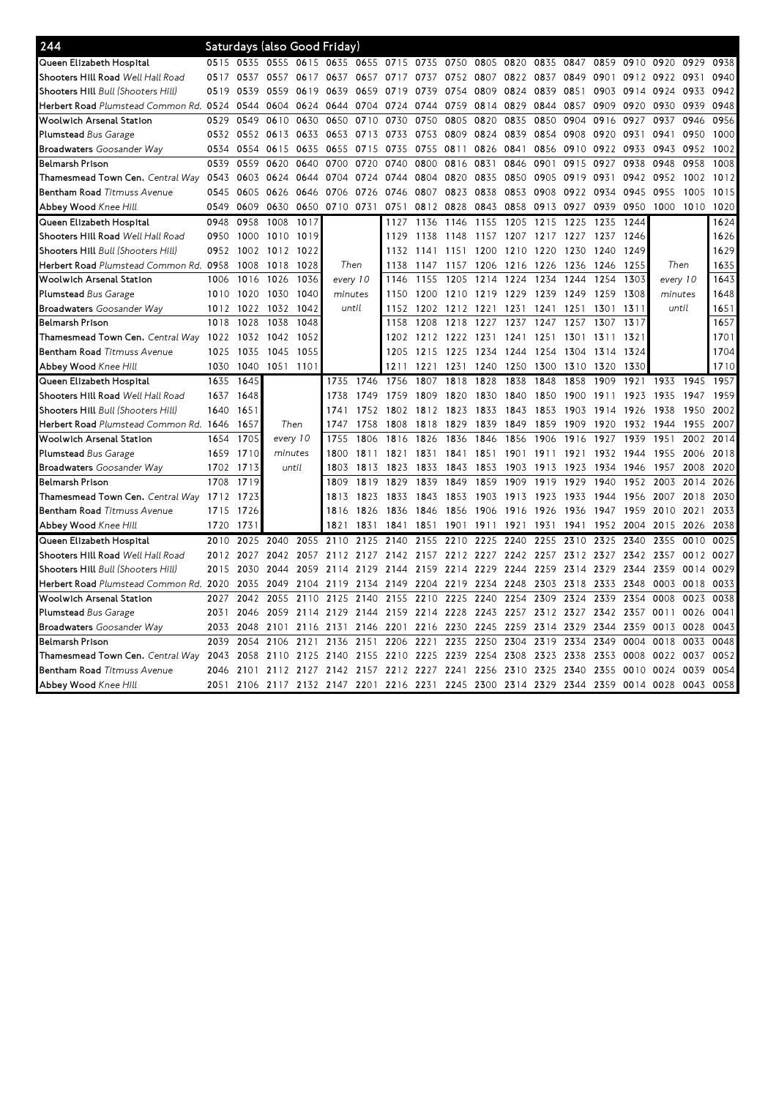| 244                                          |      |      | Saturdays (also Good Friday) |      |           |           |      |           |      |                                                                  |           |      |      |           |           |          |           |      |
|----------------------------------------------|------|------|------------------------------|------|-----------|-----------|------|-----------|------|------------------------------------------------------------------|-----------|------|------|-----------|-----------|----------|-----------|------|
| Queen Elizabeth Hospital                     | 0515 | 0535 | 0555 0615                    |      | 0635      | 0655 0715 |      | 0735      | 0750 | 0805                                                             | 0820      | 0835 | 0847 | 0859      | 0910      | 0920     | 0929      | 0938 |
| Shooters Hill Road <i>Well Hall Road</i>     | 0517 | 0537 | 0557                         | 0617 | 0637      | 0657      | 0717 | 0737      | 0752 | 0807                                                             | 0822      | 0837 | 0849 | 0901      | 0912      | 0922     | 0931      | 0940 |
| <b>Shooters Hill</b> Bull (Shooters Hill)    | 0519 | 0539 | 0559                         | 0619 | 0639      | 0659      | 0719 | 0739      | 0754 | 0809                                                             | 0824      | 0839 | 0851 | 0903      | 0914      | 0924     | 0933      | 0942 |
| Herbert Road Plumstead Common Rd. 0524       |      | 0544 | 0604                         | 0624 | 0644      | 0704      | 0724 | 0744      | 0759 | 0814                                                             | 0829      | 0844 | 0857 | 0909      | 0920      | 0930     | 0939      | 0948 |
| Woolwich Arsenal Station                     | 0529 | 0549 | 0610                         | 0630 | 0650      | 0710      | 0730 | 0750      | 0805 | 0820                                                             | 0835      | 0850 | 0904 | 0916      | 0927      | 0937     | 0946      | 0956 |
| Plumstead Bus Garage                         | 0532 | 0552 | 0613 0633                    |      | 0653      | 0713      | 0733 | 0753      | 0809 | 0824                                                             | 0839      | 0854 | 0908 | 0920      | 0931      | 0941     | 0950      | 1000 |
| <b>Broadwaters</b> Goosander Way             | 0534 | 0554 | 0615                         | 0635 | 0655      | 0715      | 0735 | 0755      | 0811 | 0826                                                             | 0841      | 0856 | 0910 | 0922      | 0933      | 0943     | 0952      | 1002 |
| Belmarsh Prison                              | 0539 | 0559 | 0620                         | 0640 | 0700      | 0720      | 0740 | 0800      | 0816 | 0831                                                             | 0846      | 0901 | 0915 | 0927      | 0938      | 0948     | 0958      | 1008 |
| Thamesmead Town Cen. Central Way             | 0543 | 0603 | 0624                         | 0644 | 0704      | 0724      | 0744 | 0804      | 0820 | 0835                                                             | 0850      | 0905 | 0919 | 0931      | 0942      | 0952     | 1002      | 1012 |
| Bentham Road Titmuss Avenue                  | 0545 | 0605 | 0626                         | 0646 | 0706      | 0726      | 0746 | 0807      | 0823 | 0838                                                             | 0853      | 0908 | 0922 | 0934      | 0945      | 0955     | 1005      | 1015 |
| <b>Abbev Wood</b> Knee Hill                  | 0549 | 0609 | 0630                         | 0650 | 0710 0731 |           | 0751 | 0812      | 0828 | 0843                                                             | 0858      | 0913 | 0927 | 0939      | 0950      | 1000     | 1010      | 1020 |
| Queen Elizabeth Hospital                     | 0948 | 0958 | 1008                         | 1017 |           |           | 1127 | 1136      | 1146 | 1155                                                             | 1205      | 1215 | 1225 | 1235      | 1244      |          |           | 1624 |
| Shooters Hill Road Well Hall Road            | 0950 | 1000 | 1010                         | 1019 |           |           | 1129 | 1138      | 1148 | 1157                                                             | 1207      | 1217 | 1227 | 1237      | 1246      |          |           | 1626 |
| <b>Shooters Hill</b> Bull (Shooters Hill)    | 0952 | 1002 | 1012 1022                    |      |           |           | 1132 | 1141      | 1151 | 1200                                                             | 1210      | 1220 | 1230 | 1240      | 1249      |          |           | 1629 |
| Herbert Road Plumstead Common Rd. 0958       |      | 1008 | 1018                         | 1028 | Then      |           | 1138 | 1147      | 1157 | 1206                                                             | 1216      | 1226 | 1236 | 1246      | 1255      | Then     |           | 1635 |
| Woolwich Arsenal Station                     | 1006 | 1016 | 1026                         | 1036 | every 10  |           | 1146 | 1155      | 1205 | 1214                                                             | 1224      | 1234 | 1244 | 1254      | 1303      | every 10 |           | 1643 |
| Plumstead Bus Garage                         | 1010 | 1020 | 1030                         | 1040 | minutes   |           | 1150 | 1200      | 1210 | 1219                                                             | 1229      | 1239 | 1249 | 1259      | 1308      | minutes  |           | 1648 |
| <b>Broadwaters</b> Goosander Way             | 1012 | 1022 | 1032                         | 1042 | until     |           | 1152 | 1202      | 1212 | 1221                                                             | 1231      | 1241 | 1251 | 1301      | 1311      | until    |           | 1651 |
| Belmarsh Prison                              | 1018 | 1028 | 1038                         | 1048 |           |           | 1158 | 1208      | 1218 | 1227                                                             | 1237      | 1247 | 1257 | 1307      | 1317      |          |           | 1657 |
| Thamesmead Town Cen. <i>Central Way</i> 1022 |      | 1032 | 1042                         | 1052 |           |           | 1202 | 1212 1222 |      | 1231                                                             | 1241      | 1251 | 1301 | 1311      | 1321      |          |           | 1701 |
| <b>Bentham Road</b> Titmuss Avenue           | 1025 | 1035 | 1045                         | 1055 |           |           | 1205 | 1215      | 1225 | 1234                                                             | 1244      | 1254 | 1304 | 1314      | 1324      |          |           | 1704 |
| <b>Abbev Wood</b> Knee Hill                  | 1030 | 1040 | 1051 1101                    |      |           |           | 1211 | 1221      | 1231 | 1240                                                             | 1250      | 1300 | 1310 | 1320      | 1330      |          |           | 1710 |
| Queen Elizabeth Hospital                     | 1635 | 1645 |                              |      | 1735      | 1746      | 1756 | 1807      | 1818 | 1828                                                             | 1838      | 1848 | 1858 | 1909      | 1921      | 1933     | 1945      | 1957 |
| Shooters Hill Road <i>Well Hall Road</i>     | 1637 | 1648 |                              |      | 1738      | 1749      | 1759 | 1809      | 1820 | 1830                                                             | 1840      | 1850 | 1900 | 1911      | 1923      | 1935     | 1947      | 1959 |
| Shooters Hill Bull (Shooters Hill)           | 1640 | 1651 |                              |      | 1741      | 1752      | 1802 | 1812 1823 |      | 1833                                                             | 1843      | 1853 | 1903 | 1914      | 1926      | 1938     | 1950      | 2002 |
| Herbert Road Plumstead Common Rd. 1646       |      | 1657 | Then                         |      | 1747      | 1758      | 1808 | 1818      | 1829 | 1839                                                             | 1849      | 1859 | 1909 | 1920      | 1932      | 1944     | 1955      | 2007 |
| Woolwich Arsenal Station                     | 1654 | 1705 | every 10                     |      | 1755      | 1806      | 1816 | 1826      | 1836 | 1846                                                             | 1856      | 1906 | 1916 | 1927      | 1939      | 1951     | 2002      | 2014 |
| <b>Plumstead</b> Bus Garage                  | 1659 | 1710 | minutes                      |      | 1800      | 1811      | 1821 | 1831      | 1841 | 1851                                                             | 1901 1911 |      | 1921 | 1932      | 1944      | 1955     | 2006      | 2018 |
| <b>Broadwaters</b> Goosander Way             | 1702 | 1713 | until                        |      | 1803      | 1813      | 1823 | 1833      | 1843 | 1853                                                             | 1903      | 1913 | 1923 | 1934      | 1946      | 1957     | 2008      | 2020 |
| Belmarsh Prison                              | 1708 | 1719 |                              |      | 1809      | 1819      | 1829 | 1839      | 1849 | 1859                                                             | 1909      | 1919 | 1929 | 1940      | 1952      | 2003     | 2014      | 2026 |
| Thamesmead Town Cen. Central Way 1712        |      | 1723 |                              |      | 1813      | 1823      | 1833 | 1843      | 1853 | 1903                                                             | 1913      | 1923 | 1933 | 1944      | 1956      | 2007     | 2018      | 2030 |
| Bentham Road Titmuss Avenue                  | 1715 | 1726 |                              |      | 1816      | 1826      | 1836 | 1846      | 1856 | 1906                                                             | 1916      | 1926 | 1936 | 1947      | 1959      | 2010     | 2021      | 2033 |
| <b>Abbey Wood</b> Knee Hill                  | 1720 | 173  |                              |      | 1821      | 1831      | 1841 | 1851      | 1901 | 1911                                                             | 1921      | 1931 | 1941 | 1952      | 2004      | 2015     | 2026      | 2038 |
| Queen Elizabeth Hospital                     | 2010 | 2025 | 2040                         | 2055 | 2110      | 2125      | 2140 | 2155      | 2210 | 2225                                                             | 2240      | 2255 | 2310 | 2325      | 2340      | 2355     | 0010      | 0025 |
| Shooters Hill Road <i>Well Hall Road</i>     | 2012 | 2027 | 2042                         | 2057 | 2112      | 2127      | 2142 | 2157      | 2212 | 2227                                                             | 2242      | 2257 | 2312 | 2327      | 2342      | 2357     | 0012      | 0027 |
| Shooters Hill Bull (Shooters Hill)           | 2015 | 2030 | 2044                         | 2059 | 2114      | 2129      | 2144 | 2159      | 2214 | 2229                                                             | 2244      | 2259 | 2314 | 2329      | 2344      | 2359     | 0014      | 0029 |
| Herbert Road Plumstead Common Rd. 2020       |      | 2035 | 2049 2104                    |      | 2119      | 2134      | 2149 | 2204 2219 |      | 2234                                                             | 2248      | 2303 | 2318 | 2333      | 2348      | 0003     | 0018      | 0033 |
| Woolwich Arsenal Station                     | 2027 | 2042 | 2055                         | 2110 | 2125      | 2140      | 2155 | 2210      | 2225 | 2240                                                             | 2254      | 2309 | 2324 | 2339      | 2354      | 0008     | 0023      | 0038 |
| <b>Plumstead</b> Bus Garage                  | 2031 | 2046 | 2059                         | 2114 | 2129      | 2144      | 2159 | 2214 2228 |      | 2243                                                             | 2257      | 2312 | 2327 | 2342 2357 |           | 0011     | 0026      | 0041 |
| <b>Broadwaters</b> Goosander Way             | 2033 | 2048 | 2101                         | 2116 | 2131      | 2146      | 2201 | 2216      | 2230 | 2245                                                             | 2259      | 2314 | 2329 | 2344      | 2359      | 0013     | 0028      | 0043 |
| Belmarsh Prison                              | 2039 | 2054 | 2106                         | 2121 | 2136      | 2151      | 2206 | 2221      | 2235 | 2250                                                             | 2304      | 2319 | 2334 | 2349      | 0004      | 0018     | 0033      | 0048 |
| Thamesmead Town Cen. Central Way             | 2043 | 2058 | 2110                         | 2125 | 2140      | 2155      | 2210 | 2225      | 2239 | 2254                                                             | 2308      | 2323 | 2338 | 2353      | 0008      | 0022     | 0037      | 0052 |
| <b>Bentham Road</b> Titmuss Avenue           | 2046 | 2101 | 2112                         | 2127 | 2142      | 2157      | 2212 | 2227      | 2241 | 2256                                                             | 2310      | 2325 | 2340 | 2355      | 0010      | 0024     | 0039      | 0054 |
| <b>Abbey Wood Knee Hill</b>                  | 2051 |      |                              |      |           |           |      |           |      | 2106 2117 2132 2147 2201 2216 2231 2245 2300 2314 2329 2344 2359 |           |      |      |           | 0014 0028 |          | 0043 0058 |      |